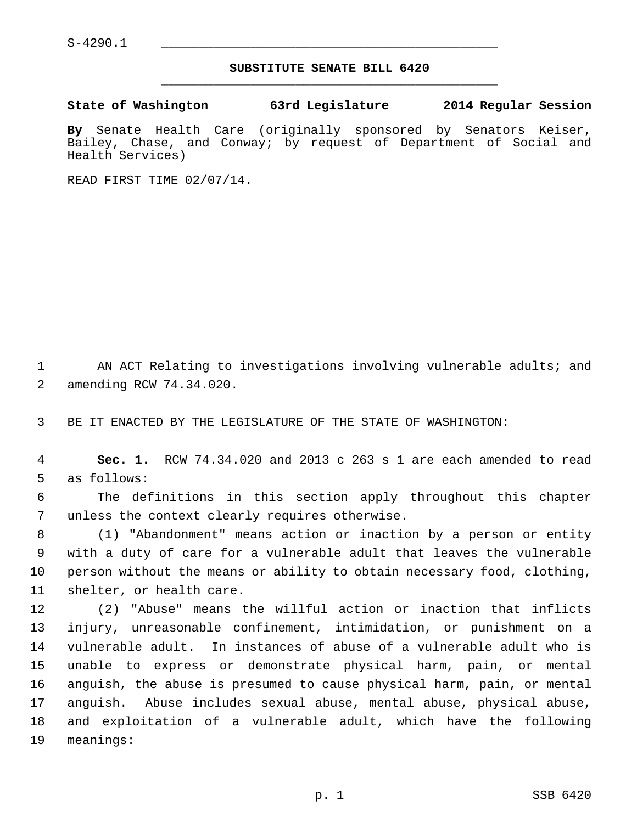## **SUBSTITUTE SENATE BILL 6420** \_\_\_\_\_\_\_\_\_\_\_\_\_\_\_\_\_\_\_\_\_\_\_\_\_\_\_\_\_\_\_\_\_\_\_\_\_\_\_\_\_\_\_\_\_

**State of Washington 63rd Legislature 2014 Regular Session**

**By** Senate Health Care (originally sponsored by Senators Keiser, Bailey, Chase, and Conway; by request of Department of Social and Health Services)

READ FIRST TIME 02/07/14.

1 AN ACT Relating to investigations involving vulnerable adults; and 2 amending RCW 74.34.020.

3 BE IT ENACTED BY THE LEGISLATURE OF THE STATE OF WASHINGTON:

 4 **Sec. 1.** RCW 74.34.020 and 2013 c 263 s 1 are each amended to read 5 as follows:

 6 The definitions in this section apply throughout this chapter 7 unless the context clearly requires otherwise.

 8 (1) "Abandonment" means action or inaction by a person or entity 9 with a duty of care for a vulnerable adult that leaves the vulnerable 10 person without the means or ability to obtain necessary food, clothing, 11 shelter, or health care.

12 (2) "Abuse" means the willful action or inaction that inflicts 13 injury, unreasonable confinement, intimidation, or punishment on a 14 vulnerable adult. In instances of abuse of a vulnerable adult who is 15 unable to express or demonstrate physical harm, pain, or mental 16 anguish, the abuse is presumed to cause physical harm, pain, or mental 17 anguish. Abuse includes sexual abuse, mental abuse, physical abuse, 18 and exploitation of a vulnerable adult, which have the following 19 meanings: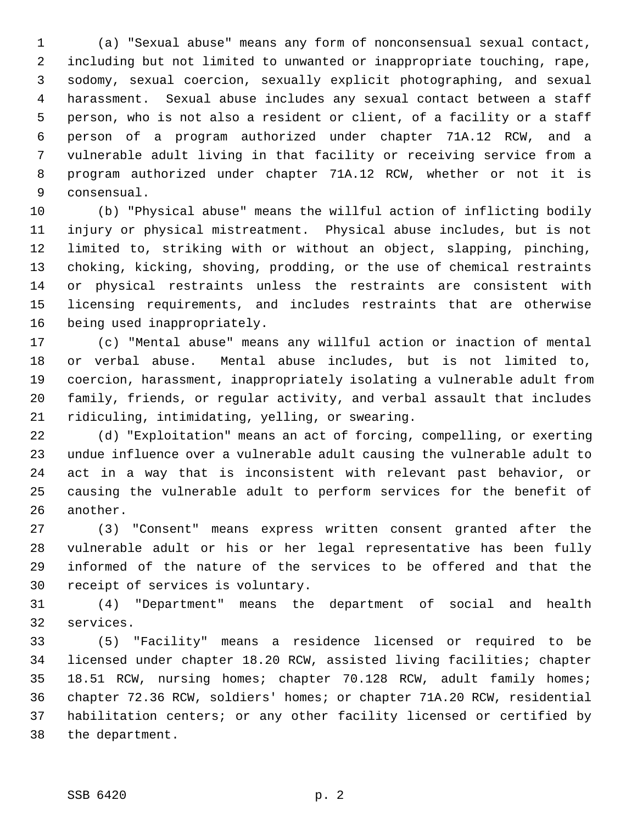1 (a) "Sexual abuse" means any form of nonconsensual sexual contact, 2 including but not limited to unwanted or inappropriate touching, rape, 3 sodomy, sexual coercion, sexually explicit photographing, and sexual 4 harassment. Sexual abuse includes any sexual contact between a staff 5 person, who is not also a resident or client, of a facility or a staff 6 person of a program authorized under chapter 71A.12 RCW, and a 7 vulnerable adult living in that facility or receiving service from a 8 program authorized under chapter 71A.12 RCW, whether or not it is 9 consensual.

10 (b) "Physical abuse" means the willful action of inflicting bodily 11 injury or physical mistreatment. Physical abuse includes, but is not 12 limited to, striking with or without an object, slapping, pinching, 13 choking, kicking, shoving, prodding, or the use of chemical restraints 14 or physical restraints unless the restraints are consistent with 15 licensing requirements, and includes restraints that are otherwise 16 being used inappropriately.

17 (c) "Mental abuse" means any willful action or inaction of mental 18 or verbal abuse. Mental abuse includes, but is not limited to, 19 coercion, harassment, inappropriately isolating a vulnerable adult from 20 family, friends, or regular activity, and verbal assault that includes 21 ridiculing, intimidating, yelling, or swearing.

22 (d) "Exploitation" means an act of forcing, compelling, or exerting 23 undue influence over a vulnerable adult causing the vulnerable adult to 24 act in a way that is inconsistent with relevant past behavior, or 25 causing the vulnerable adult to perform services for the benefit of 26 another.

27 (3) "Consent" means express written consent granted after the 28 vulnerable adult or his or her legal representative has been fully 29 informed of the nature of the services to be offered and that the 30 receipt of services is voluntary.

31 (4) "Department" means the department of social and health 32 services.

33 (5) "Facility" means a residence licensed or required to be 34 licensed under chapter 18.20 RCW, assisted living facilities; chapter 35 18.51 RCW, nursing homes; chapter 70.128 RCW, adult family homes; 36 chapter 72.36 RCW, soldiers' homes; or chapter 71A.20 RCW, residential 37 habilitation centers; or any other facility licensed or certified by 38 the department.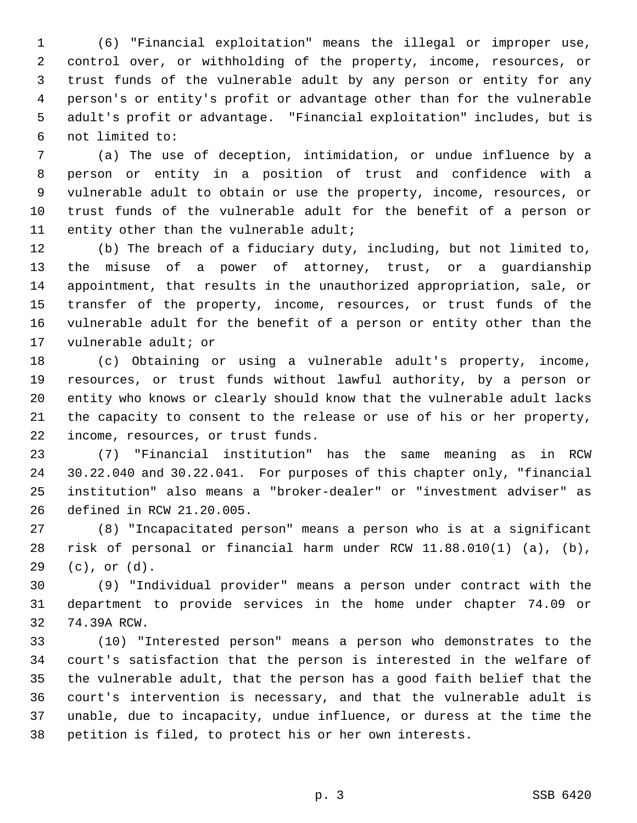1 (6) "Financial exploitation" means the illegal or improper use, 2 control over, or withholding of the property, income, resources, or 3 trust funds of the vulnerable adult by any person or entity for any 4 person's or entity's profit or advantage other than for the vulnerable 5 adult's profit or advantage. "Financial exploitation" includes, but is 6 not limited to:

 7 (a) The use of deception, intimidation, or undue influence by a 8 person or entity in a position of trust and confidence with a 9 vulnerable adult to obtain or use the property, income, resources, or 10 trust funds of the vulnerable adult for the benefit of a person or 11 entity other than the vulnerable adult;

12 (b) The breach of a fiduciary duty, including, but not limited to, 13 the misuse of a power of attorney, trust, or a guardianship 14 appointment, that results in the unauthorized appropriation, sale, or 15 transfer of the property, income, resources, or trust funds of the 16 vulnerable adult for the benefit of a person or entity other than the 17 vulnerable adult; or

18 (c) Obtaining or using a vulnerable adult's property, income, 19 resources, or trust funds without lawful authority, by a person or 20 entity who knows or clearly should know that the vulnerable adult lacks 21 the capacity to consent to the release or use of his or her property, 22 income, resources, or trust funds.

23 (7) "Financial institution" has the same meaning as in RCW 24 30.22.040 and 30.22.041. For purposes of this chapter only, "financial 25 institution" also means a "broker-dealer" or "investment adviser" as 26 defined in RCW 21.20.005.

27 (8) "Incapacitated person" means a person who is at a significant 28 risk of personal or financial harm under RCW 11.88.010(1) (a), (b), 29 (c), or (d).

30 (9) "Individual provider" means a person under contract with the 31 department to provide services in the home under chapter 74.09 or 32 74.39A RCW.

33 (10) "Interested person" means a person who demonstrates to the 34 court's satisfaction that the person is interested in the welfare of 35 the vulnerable adult, that the person has a good faith belief that the 36 court's intervention is necessary, and that the vulnerable adult is 37 unable, due to incapacity, undue influence, or duress at the time the 38 petition is filed, to protect his or her own interests.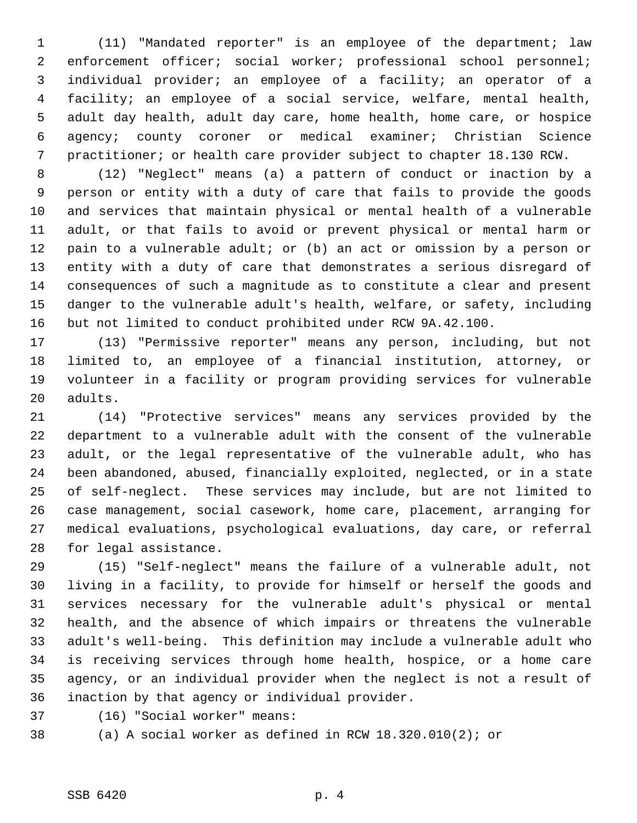1 (11) "Mandated reporter" is an employee of the department; law 2 enforcement officer; social worker; professional school personnel; 3 individual provider; an employee of a facility; an operator of a 4 facility; an employee of a social service, welfare, mental health, 5 adult day health, adult day care, home health, home care, or hospice 6 agency; county coroner or medical examiner; Christian Science 7 practitioner; or health care provider subject to chapter 18.130 RCW.

 8 (12) "Neglect" means (a) a pattern of conduct or inaction by a 9 person or entity with a duty of care that fails to provide the goods 10 and services that maintain physical or mental health of a vulnerable 11 adult, or that fails to avoid or prevent physical or mental harm or 12 pain to a vulnerable adult; or (b) an act or omission by a person or 13 entity with a duty of care that demonstrates a serious disregard of 14 consequences of such a magnitude as to constitute a clear and present 15 danger to the vulnerable adult's health, welfare, or safety, including 16 but not limited to conduct prohibited under RCW 9A.42.100.

17 (13) "Permissive reporter" means any person, including, but not 18 limited to, an employee of a financial institution, attorney, or 19 volunteer in a facility or program providing services for vulnerable 20 adults.

21 (14) "Protective services" means any services provided by the 22 department to a vulnerable adult with the consent of the vulnerable 23 adult, or the legal representative of the vulnerable adult, who has 24 been abandoned, abused, financially exploited, neglected, or in a state 25 of self-neglect. These services may include, but are not limited to 26 case management, social casework, home care, placement, arranging for 27 medical evaluations, psychological evaluations, day care, or referral 28 for legal assistance.

29 (15) "Self-neglect" means the failure of a vulnerable adult, not 30 living in a facility, to provide for himself or herself the goods and 31 services necessary for the vulnerable adult's physical or mental 32 health, and the absence of which impairs or threatens the vulnerable 33 adult's well-being. This definition may include a vulnerable adult who 34 is receiving services through home health, hospice, or a home care 35 agency, or an individual provider when the neglect is not a result of 36 inaction by that agency or individual provider.

37 (16) "Social worker" means:

38 (a) A social worker as defined in RCW 18.320.010(2); or